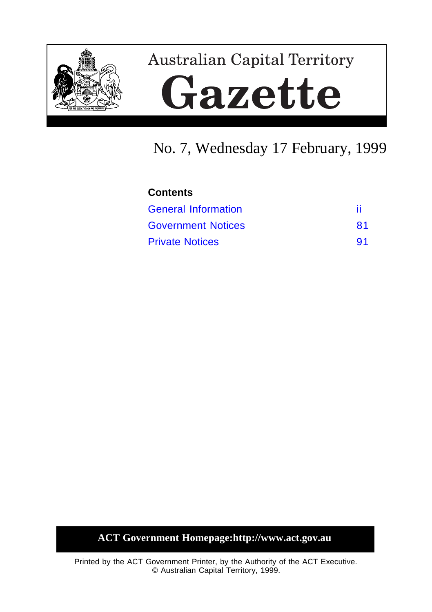

# **Australian Capital Territory** Gazette

## No. 7, Wednesday 17 February, 1999

## **Contents** [General Information](#page-1-0) iii [Government Notices](#page-2-0) 81 [Private Notices](#page-12-0) 91

**ACT Government Homepage:http://www.act.gov.au**

Printed by the ACT Government Printer, by the Authority of the ACT Executive. © Australian Capital Territory, 1999.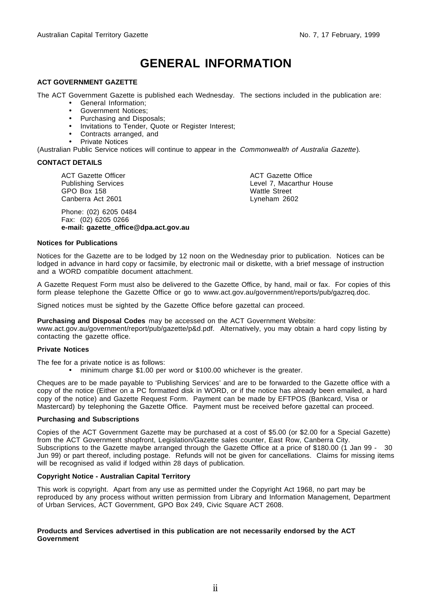## **GENERAL INFORMATION**

#### <span id="page-1-0"></span>**ACT GOVERNMENT GAZETTE**

The ACT Government Gazette is published each Wednesday. The sections included in the publication are:

- General Information;
- Government Notices;
- Purchasing and Disposals;
- Invitations to Tender, Quote or Register Interest;
- Contracts arranged, and
- Private Notices

(Australian Public Service notices will continue to appear in the Commonwealth of Australia Gazette).

#### **CONTACT DETAILS**

ACT Gazette Officer Publishing Services GPO Box 158 Canberra Act 2601

Phone: (02) 6205 0484 Fax: (02) 6205 0266 **e-mail: gazette\_office@dpa.act.gov.au** ACT Gazette Office Level 7, Macarthur House Wattle Street Lyneham 2602

#### **Notices for Publications**

Notices for the Gazette are to be lodged by 12 noon on the Wednesday prior to publication. Notices can be lodged in advance in hard copy or facsimile, by electronic mail or diskette, with a brief message of instruction and a WORD compatible document attachment.

A Gazette Request Form must also be delivered to the Gazette Office, by hand, mail or fax. For copies of this form please telephone the Gazette Office or go to www.act.gov.au/government/reports/pub/gazreq.doc.

Signed notices must be sighted by the Gazette Office before gazettal can proceed.

**Purchasing and Disposal Codes** may be accessed on the ACT Government Website:

www.act.gov.au/government/report/pub/gazette/p&d.pdf. Alternatively, you may obtain a hard copy listing by contacting the gazette office.

#### **Private Notices**

The fee for a private notice is as follows:

• minimum charge \$1.00 per word or \$100.00 whichever is the greater.

Cheques are to be made payable to 'Publishing Services' and are to be forwarded to the Gazette office with a copy of the notice (Either on a PC formatted disk in WORD, or if the notice has already been emailed, a hard copy of the notice) and Gazette Request Form. Payment can be made by EFTPOS (Bankcard, Visa or Mastercard) by telephoning the Gazette Office. Payment must be received before gazettal can proceed.

#### **Purchasing and Subscriptions**

Copies of the ACT Government Gazette may be purchased at a cost of \$5.00 (or \$2.00 for a Special Gazette) from the ACT Government shopfront, Legislation/Gazette sales counter, East Row, Canberra City. Subscriptions to the Gazette maybe arranged through the Gazette Office at a price of \$180.00 (1 Jan 99 - 30 Jun 99) or part thereof, including postage. Refunds will not be given for cancellations. Claims for missing items will be recognised as valid if lodged within 28 days of publication.

#### **Copyright Notice - Australian Capital Territory**

This work is copyright. Apart from any use as permitted under the Copyright Act 1968, no part may be reproduced by any process without written permission from Library and Information Management, Department of Urban Services, ACT Government, GPO Box 249, Civic Square ACT 2608.

#### **Products and Services advertised in this publication are not necessarily endorsed by the ACT Government**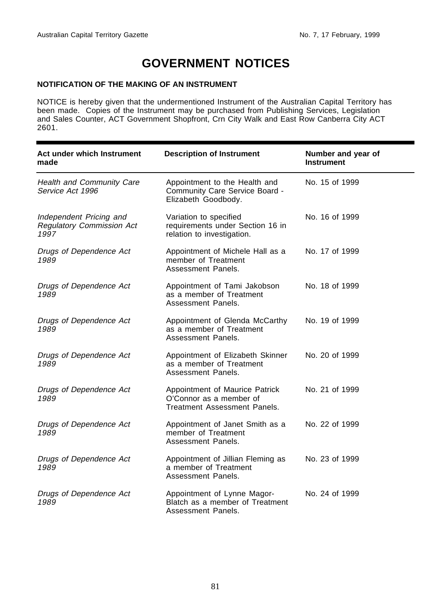## **GOVERNMENT NOTICES**

#### <span id="page-2-0"></span>**NOTIFICATION OF THE MAKING OF AN INSTRUMENT**

NOTICE is hereby given that the undermentioned Instrument of the Australian Capital Territory has been made. Copies of the Instrument may be purchased from Publishing Services, Legislation and Sales Counter, ACT Government Shopfront, Crn City Walk and East Row Canberra City ACT 2601.

| Act under which Instrument<br>made                                  | <b>Description of Instrument</b>                                                          | Number and year of<br><b>Instrument</b> |
|---------------------------------------------------------------------|-------------------------------------------------------------------------------------------|-----------------------------------------|
| <b>Health and Community Care</b><br>Service Act 1996                | Appointment to the Health and<br>Community Care Service Board -<br>Elizabeth Goodbody.    | No. 15 of 1999                          |
| Independent Pricing and<br><b>Regulatory Commission Act</b><br>1997 | Variation to specified<br>requirements under Section 16 in<br>relation to investigation.  | No. 16 of 1999                          |
| Drugs of Dependence Act<br>1989                                     | Appointment of Michele Hall as a<br>member of Treatment<br>Assessment Panels.             | No. 17 of 1999                          |
| Drugs of Dependence Act<br>1989                                     | Appointment of Tami Jakobson<br>as a member of Treatment<br>Assessment Panels.            | No. 18 of 1999                          |
| Drugs of Dependence Act<br>1989                                     | Appointment of Glenda McCarthy<br>as a member of Treatment<br>Assessment Panels.          | No. 19 of 1999                          |
| Drugs of Dependence Act<br>1989                                     | Appointment of Elizabeth Skinner<br>as a member of Treatment<br>Assessment Panels.        | No. 20 of 1999                          |
| Drugs of Dependence Act<br>1989                                     | Appointment of Maurice Patrick<br>O'Connor as a member of<br>Treatment Assessment Panels. | No. 21 of 1999                          |
| Drugs of Dependence Act<br>1989                                     | Appointment of Janet Smith as a<br>member of Treatment<br>Assessment Panels.              | No. 22 of 1999                          |
| Drugs of Dependence Act<br>1989                                     | Appointment of Jillian Fleming as<br>a member of Treatment<br>Assessment Panels.          | No. 23 of 1999                          |
| Drugs of Dependence Act<br>1989                                     | Appointment of Lynne Magor-<br>Blatch as a member of Treatment<br>Assessment Panels.      | No. 24 of 1999                          |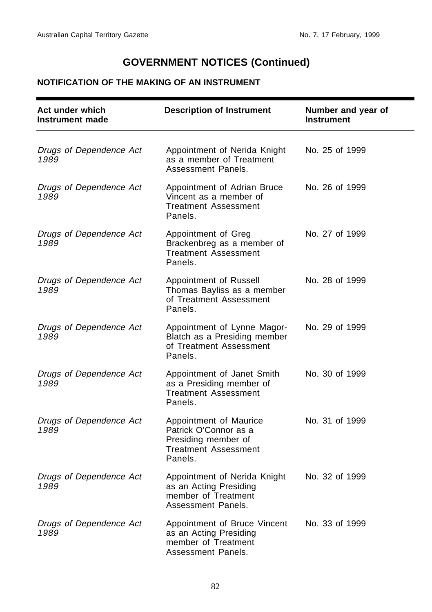## **NOTIFICATION OF THE MAKING OF AN INSTRUMENT**

| Act under which<br><b>Instrument made</b> | <b>Description of Instrument</b>                                                                                 | Number and year of<br><b>Instrument</b> |
|-------------------------------------------|------------------------------------------------------------------------------------------------------------------|-----------------------------------------|
| Drugs of Dependence Act<br>1989           | Appointment of Nerida Knight<br>as a member of Treatment<br>Assessment Panels.                                   | No. 25 of 1999                          |
| Drugs of Dependence Act<br>1989           | Appointment of Adrian Bruce<br>Vincent as a member of<br><b>Treatment Assessment</b><br>Panels.                  | No. 26 of 1999                          |
| Drugs of Dependence Act<br>1989           | Appointment of Greg<br>Brackenbreg as a member of<br><b>Treatment Assessment</b><br>Panels.                      | No. 27 of 1999                          |
| Drugs of Dependence Act<br>1989           | Appointment of Russell<br>Thomas Bayliss as a member<br>of Treatment Assessment<br>Panels.                       | No. 28 of 1999                          |
| Drugs of Dependence Act<br>1989           | Appointment of Lynne Magor-<br>Blatch as a Presiding member<br>of Treatment Assessment<br>Panels.                | No. 29 of 1999                          |
| Drugs of Dependence Act<br>1989           | Appointment of Janet Smith<br>as a Presiding member of<br><b>Treatment Assessment</b><br>Panels.                 | No. 30 of 1999                          |
| Drugs of Dependence Act<br>1989           | Appointment of Maurice<br>Patrick O'Connor as a<br>Presiding member of<br><b>Treatment Assessment</b><br>Panels. | No. 31 of 1999                          |
| Drugs of Dependence Act<br>1989           | Appointment of Nerida Knight<br>as an Acting Presiding<br>member of Treatment<br>Assessment Panels.              | No. 32 of 1999                          |
| Drugs of Dependence Act<br>1989           | Appointment of Bruce Vincent<br>as an Acting Presiding<br>member of Treatment<br>Assessment Panels.              | No. 33 of 1999                          |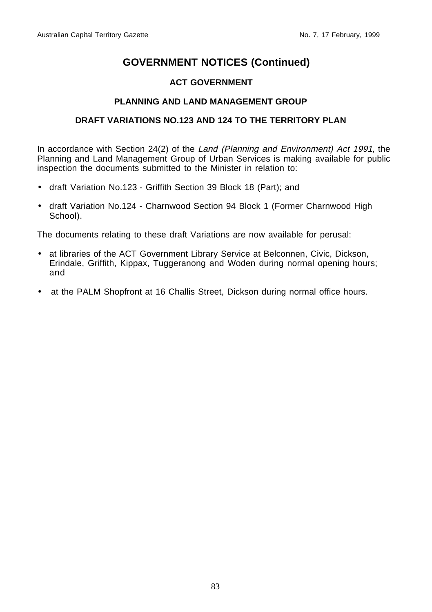## **ACT GOVERNMENT**

## **PLANNING AND LAND MANAGEMENT GROUP**

## **DRAFT VARIATIONS NO.123 AND 124 TO THE TERRITORY PLAN**

In accordance with Section 24(2) of the Land (Planning and Environment) Act 1991, the Planning and Land Management Group of Urban Services is making available for public inspection the documents submitted to the Minister in relation to:

- draft Variation No.123 Griffith Section 39 Block 18 (Part); and
- draft Variation No.124 Charnwood Section 94 Block 1 (Former Charnwood High School).

The documents relating to these draft Variations are now available for perusal:

- at libraries of the ACT Government Library Service at Belconnen, Civic, Dickson, Erindale, Griffith, Kippax, Tuggeranong and Woden during normal opening hours; and
- at the PALM Shopfront at 16 Challis Street, Dickson during normal office hours.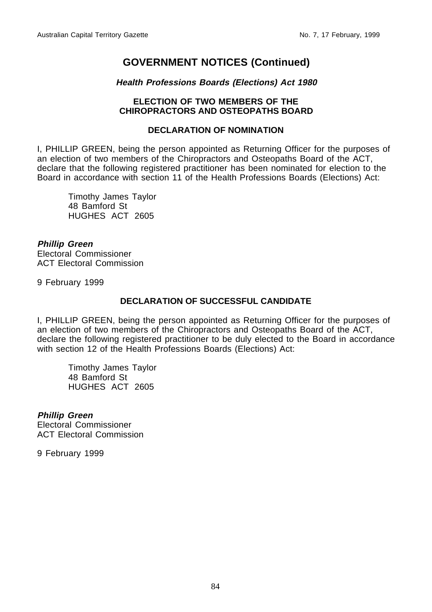## **Health Professions Boards (Elections) Act 1980**

### **ELECTION OF TWO MEMBERS OF THE CHIROPRACTORS AND OSTEOPATHS BOARD**

## **DECLARATION OF NOMINATION**

I, PHILLIP GREEN, being the person appointed as Returning Officer for the purposes of an election of two members of the Chiropractors and Osteopaths Board of the ACT, declare that the following registered practitioner has been nominated for election to the Board in accordance with section 11 of the Health Professions Boards (Elections) Act:

Timothy James Taylor 48 Bamford St HUGHES ACT 2605

**Phillip Green** Electoral Commissioner ACT Electoral Commission

9 February 1999

## **DECLARATION OF SUCCESSFUL CANDIDATE**

I, PHILLIP GREEN, being the person appointed as Returning Officer for the purposes of an election of two members of the Chiropractors and Osteopaths Board of the ACT, declare the following registered practitioner to be duly elected to the Board in accordance with section 12 of the Health Professions Boards (Elections) Act:

Timothy James Taylor 48 Bamford St HUGHES ACT 2605

## **Phillip Green**

Electoral Commissioner ACT Electoral Commission

9 February 1999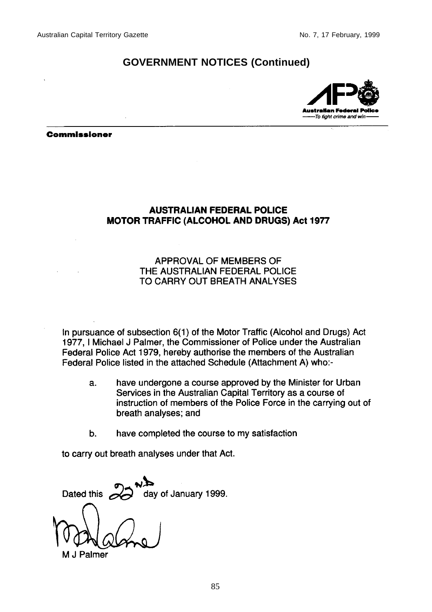

#### **Commissioner**

## **AUSTRALIAN FEDERAL POLICE MOTOR TRAFFIC (ALCOHOL AND DRUGS) Act 1977**

## APPROVAL OF MEMBERS OF THE AUSTRALIAN FEDERAL POLICE TO CARRY OUT BREATH ANALYSES

in pursuance of subsection 6(1) of the Motor Traffic (Alcohol and Drugs) Act 1977, I Michael J Palmer, the Commissioner of Police under the Australian Federal Police Act 1979, hereby authorise the members of the Australian Federal Police listed in the attached Schedule (Attachment A) who:-

- have undergone a course approved by the Minister for Urban a. Services in the Australian Capital Territory as a course of instruction of members of the Police Force in the carrying out of breath analyses; and
- have completed the course to my satisfaction  $\mathbf b$ .

to carry out breath analyses under that Act.

Dated this day of January 1999.

J Palmer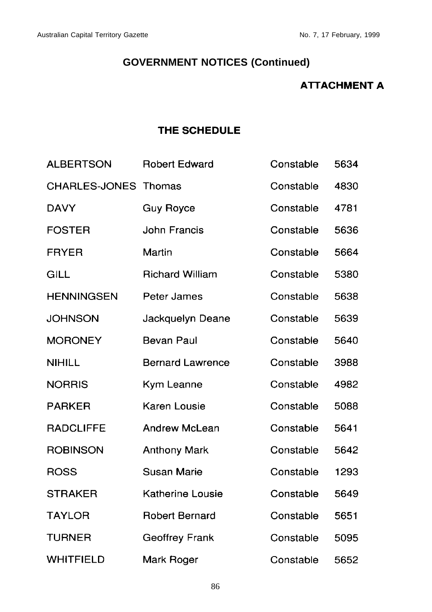## **ATTACHMENT A**

## THE SCHEDULE

| <b>ALBERTSON</b>            | <b>Robert Edward</b>    | Constable | 5634 |
|-----------------------------|-------------------------|-----------|------|
| <b>CHARLES-JONES Thomas</b> |                         | Constable | 4830 |
| <b>DAVY</b>                 | <b>Guy Royce</b>        | Constable | 4781 |
| <b>FOSTER</b>               | <b>John Francis</b>     | Constable | 5636 |
| <b>FRYER</b>                | Martin                  | Constable | 5664 |
| GILL                        | <b>Richard William</b>  | Constable | 5380 |
| <b>HENNINGSEN</b>           | Peter James             | Constable | 5638 |
| <b>JOHNSON</b>              | Jackquelyn Deane        | Constable | 5639 |
| <b>MORONEY</b>              | <b>Bevan Paul</b>       | Constable | 5640 |
| <b>NIHILL</b>               | <b>Bernard Lawrence</b> | Constable | 3988 |
| <b>NORRIS</b>               | Kym Leanne              | Constable | 4982 |
| <b>PARKER</b>               | Karen Lousie            | Constable | 5088 |
| <b>RADCLIFFE</b>            | <b>Andrew McLean</b>    | Constable | 5641 |
| <b>ROBINSON</b>             | <b>Anthony Mark</b>     | Constable | 5642 |
| <b>ROSS</b>                 | <b>Susan Marie</b>      | Constable | 1293 |
| <b>STRAKER</b>              | <b>Katherine Lousie</b> | Constable | 5649 |
| <b>TAYLOR</b>               | <b>Robert Bernard</b>   | Constable | 5651 |
| <b>TURNER</b>               | <b>Geoffrey Frank</b>   | Constable | 5095 |
| <b>WHITFIELD</b>            | Mark Roger              | Constable | 5652 |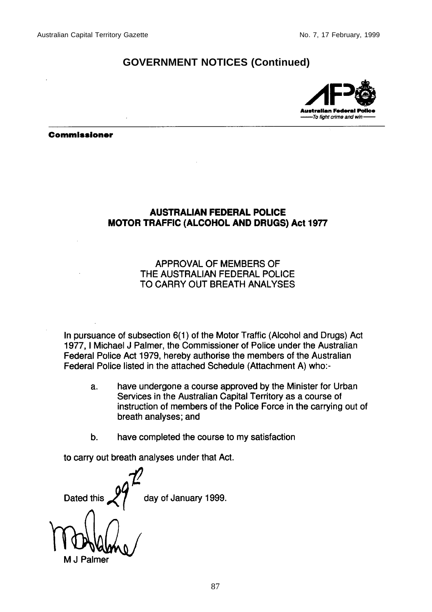

**Commissioner** 

## **AUSTRALIAN FEDERAL POLICE MOTOR TRAFFIC (ALCOHOL AND DRUGS) Act 1977**

## APPROVAL OF MEMBERS OF THE AUSTRALIAN FEDERAL POLICE TO CARRY OUT BREATH ANALYSES

In pursuance of subsection 6(1) of the Motor Traffic (Alcohol and Drugs) Act 1977, I Michael J Palmer, the Commissioner of Police under the Australian Federal Police Act 1979, hereby authorise the members of the Australian Federal Police listed in the attached Schedule (Attachment A) who:-

- have undergone a course approved by the Minister for Urban a. Services in the Australian Capital Territory as a course of instruction of members of the Police Force in the carrying out of breath analyses; and
- have completed the course to my satisfaction  $\mathbf b$ .

to carry out breath analyses under that Act.

day of January 1999. Dated this

Palmer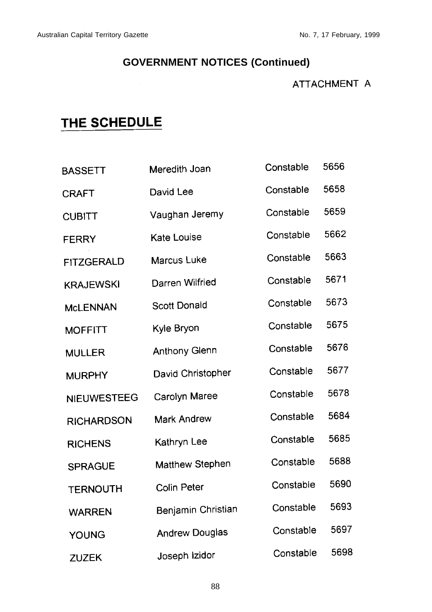## ATTACHMENT A

## THE SCHEDULE

| <b>BASSETT</b>     | Meredith Joan          | Constable | 5656 |
|--------------------|------------------------|-----------|------|
| <b>CRAFT</b>       | David Lee              | Constable | 5658 |
| <b>CUBITT</b>      | Vaughan Jeremy         | Constable | 5659 |
| <b>FERRY</b>       | <b>Kate Louise</b>     | Constable | 5662 |
| <b>FITZGERALD</b>  | Marcus Luke            | Constable | 5663 |
| <b>KRAJEWSKI</b>   | Darren Wilfried        | Constable | 5671 |
| <b>McLENNAN</b>    | <b>Scott Donald</b>    | Constable | 5673 |
| <b>MOFFITT</b>     | Kyle Bryon             | Constable | 5675 |
| <b>MULLER</b>      | <b>Anthony Glenn</b>   | Constable | 5676 |
| <b>MURPHY</b>      | David Christopher      | Constable | 5677 |
| <b>NIEUWESTEEG</b> | Carolyn Maree          | Constable | 5678 |
| <b>RICHARDSON</b>  | <b>Mark Andrew</b>     | Constable | 5684 |
| <b>RICHENS</b>     | Kathryn Lee            | Constable | 5685 |
| <b>SPRAGUE</b>     | <b>Matthew Stephen</b> | Constable | 5688 |
| <b>TERNOUTH</b>    | <b>Colin Peter</b>     | Constable | 5690 |
| <b>WARREN</b>      | Benjamin Christian     | Constable | 5693 |
| YOUNG              | <b>Andrew Douglas</b>  | Constable | 5697 |
| ZUZEK              | Joseph Izidor          | Constable | 5698 |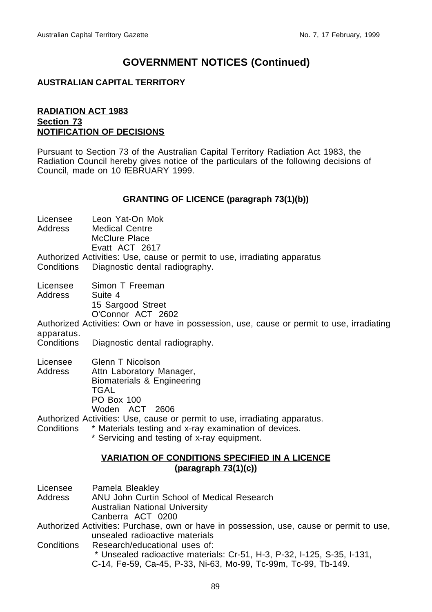### **AUSTRALIAN CAPITAL TERRITORY**

### **RADIATION ACT 1983 Section 73 NOTIFICATION OF DECISIONS**

Pursuant to Section 73 of the Australian Capital Territory Radiation Act 1983, the Radiation Council hereby gives notice of the particulars of the following decisions of Council, made on 10 fEBRUARY 1999.

#### **GRANTING OF LICENCE (paragraph 73(1)(b))**

- Licensee Leon Yat-On Mok<br>Address Medical Centre **Medical Centre** 
	- McClure Place
		- Evatt ACT 2617
- Authorized Activities: Use, cause or permit to use, irradiating apparatus Conditions Diagnostic dental radiography.
- Licensee Simon T Freeman Address Suite 4
	- 15 Sargood Street O'Connor ACT 2602

Authorized Activities: Own or have in possession, use, cause or permit to use, irradiating apparatus.

Conditions Diagnostic dental radiography.

Licensee Glenn T Nicolson Address Attn Laboratory Manager, Biomaterials & Engineering TGAL PO Box 100 Woden ACT 2606

Authorized Activities: Use, cause or permit to use, irradiating apparatus.

- Conditions \* Materials testing and x-ray examination of devices.
	- \* Servicing and testing of x-ray equipment.

## **VARIATION OF CONDITIONS SPECIFIED IN A LICENCE (paragraph 73(1)(c))**

- Licensee Pamela Bleakley
- Address ANU John Curtin School of Medical Research Australian National University Canberra ACT 0200
- Authorized Activities: Purchase, own or have in possession, use, cause or permit to use, unsealed radioactive materials
- Conditions Research/educational uses of:

 \* Unsealed radioactive materials: Cr-51, H-3, P-32, I-125, S-35, I-131, C-14, Fe-59, Ca-45, P-33, Ni-63, Mo-99, Tc-99m, Tc-99, Tb-149.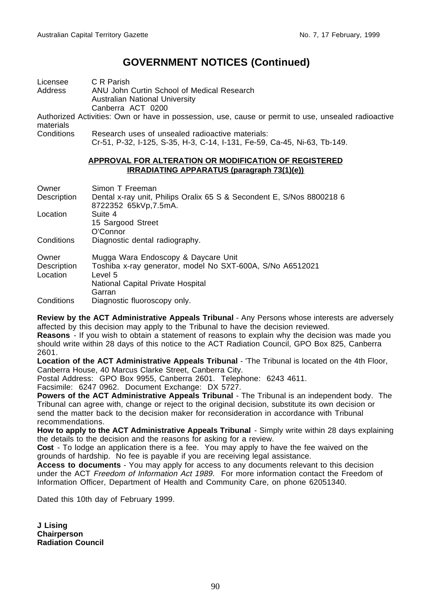| Licensee   | C R Parish                                                                                                                   |
|------------|------------------------------------------------------------------------------------------------------------------------------|
| Address    | ANU John Curtin School of Medical Research                                                                                   |
|            | Australian National University                                                                                               |
|            | Canberra ACT 0200                                                                                                            |
| materials  | Authorized Activities: Own or have in possession, use, cause or permit to use, unsealed radioactive                          |
| Conditions | Research uses of unsealed radioactive materials:<br>Cr-51, P-32, I-125, S-35, H-3, C-14, I-131, Fe-59, Ca-45, Ni-63, Tb-149. |

#### **APPROVAL FOR ALTERATION OR MODIFICATION OF REGISTERED IRRADIATING APPARATUS (paragraph 73(1)(e))**

| Owner                   | Simon T Freeman                                                                               |
|-------------------------|-----------------------------------------------------------------------------------------------|
| Description             | Dental x-ray unit, Philips Oralix 65 S & Secondent E, S/Nos 8800218 6<br>8722352 65kVp.7.5mA. |
| Location                | Suite 4                                                                                       |
|                         | 15 Sargood Street                                                                             |
|                         | O'Connor                                                                                      |
| Conditions              | Diagnostic dental radiography.                                                                |
| Owner                   | Mugga Wara Endoscopy & Daycare Unit                                                           |
| Description<br>Location | Toshiba x-ray generator, model No SXT-600A, S/No A6512021<br>Level 5                          |
|                         | National Capital Private Hospital                                                             |
|                         | Garran                                                                                        |
| Conditions              | Diagnostic fluoroscopy only.                                                                  |
|                         |                                                                                               |

**Review by the ACT Administrative Appeals Tribunal** - Any Persons whose interests are adversely affected by this decision may apply to the Tribunal to have the decision reviewed.

**Reasons** - If you wish to obtain a statement of reasons to explain why the decision was made you should write within 28 days of this notice to the ACT Radiation Council, GPO Box 825, Canberra 2601.

**Location of the ACT Administrative Appeals Tribunal** - 'The Tribunal is located on the 4th Floor, Canberra House, 40 Marcus Clarke Street, Canberra City.

Postal Address: GPO Box 9955, Canberra 2601. Telephone: 6243 4611.

Facsimile: 6247 0962. Document Exchange: DX 5727.

**Powers of the ACT Administrative Appeals Tribunal** - The Tribunal is an independent body. The Tribunal can agree with, change or reject to the original decision, substitute its own decision or send the matter back to the decision maker for reconsideration in accordance with Tribunal recommendations.

**How to apply to the ACT Administrative Appeals Tribunal** - Simply write within 28 days explaining the details to the decision and the reasons for asking for a review.

**Cost** - To lodge an application there is a fee. You may apply to have the fee waived on the grounds of hardship. No fee is payable if you are receiving legal assistance.

**Access to documents** - You may apply for access to any documents relevant to this decision under the ACT Freedom of Information Act 1989. For more information contact the Freedom of Information Officer, Department of Health and Community Care, on phone 62051340.

Dated this 10th day of February 1999.

**J Lising Chairperson Radiation Council**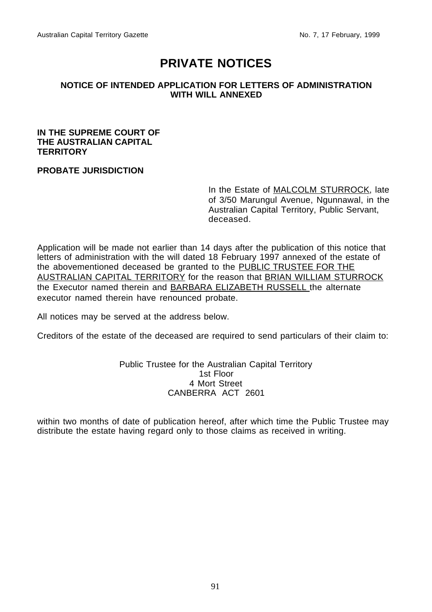## **PRIVATE NOTICES**

### <span id="page-12-0"></span>**NOTICE OF INTENDED APPLICATION FOR LETTERS OF ADMINISTRATION WITH WILL ANNEXED**

### **IN THE SUPREME COURT OF THE AUSTRALIAN CAPITAL TERRITORY**

### **PROBATE JURISDICTION**

In the Estate of MALCOLM STURROCK, late of 3/50 Marungul Avenue, Ngunnawal, in the Australian Capital Territory, Public Servant, deceased.

Application will be made not earlier than 14 days after the publication of this notice that letters of administration with the will dated 18 February 1997 annexed of the estate of the abovementioned deceased be granted to the PUBLIC TRUSTEE FOR THE AUSTRALIAN CAPITAL TERRITORY for the reason that BRIAN WILLIAM STURROCK the Executor named therein and BARBARA ELIZABETH RUSSELL the alternate executor named therein have renounced probate.

All notices may be served at the address below.

Creditors of the estate of the deceased are required to send particulars of their claim to:

### Public Trustee for the Australian Capital Territory 1st Floor 4 Mort Street CANBERRA ACT 2601

within two months of date of publication hereof, after which time the Public Trustee may distribute the estate having regard only to those claims as received in writing.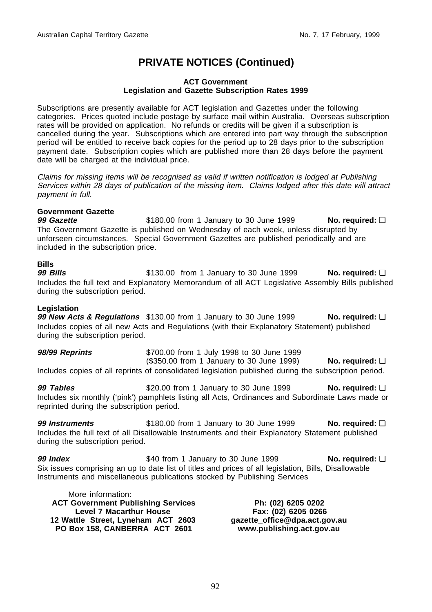## **PRIVATE NOTICES (Continued)**

#### **ACT Government Legislation and Gazette Subscription Rates 1999**

Subscriptions are presently available for ACT legislation and Gazettes under the following categories. Prices quoted include postage by surface mail within Australia. Overseas subscription rates will be provided on application. No refunds or credits will be given if a subscription is cancelled during the year. Subscriptions which are entered into part way through the subscription period will be entitled to receive back copies for the period up to 28 days prior to the subscription payment date. Subscription copies which are published more than 28 days before the payment date will be charged at the individual price.

Claims for missing items will be recognised as valid if written notification is lodged at Publishing Services within 28 days of publication of the missing item. Claims lodged after this date will attract payment in full.

## **Government Gazette**

**99 Gazette be \$180.00 from 1 January to 30 June 1999 No. required: □** The Government Gazette is published on Wednesday of each week, unless disrupted by unforseen circumstances. Special Government Gazettes are published periodically and are included in the subscription price.

**Bills 99 Bills** \$130.00 from 1 January to 30 June 1999 **No. required:** ❏ Includes the full text and Explanatory Memorandum of all ACT Legislative Assembly Bills published during the subscription period.

### **Legislation**

**99 New Acts & Regulations** \$130.00 from 1 January to 30 June 1999 **No. required: □** Includes copies of all new Acts and Regulations (with their Explanatory Statement) published during the subscription period.

**98/99 Reprints** \$700.00 from 1 July 1998 to 30 June 1999 (\$350.00 from 1 January to 30 June 1999) **No. required:** ❏ Includes copies of all reprints of consolidated legislation published during the subscription period.

**99 Tables because \$20.00 from 1 January to 30 June 1999 <b>No. required: □** Includes six monthly ('pink') pamphlets listing all Acts, Ordinances and Subordinate Laws made or reprinted during the subscription period.

**99 Instruments \$180.00 from 1 January to 30 June 1999 No. required:** □ Includes the full text of all Disallowable Instruments and their Explanatory Statement published during the subscription period.

**99 Index because \$40 from 1 January to 30 June 1999 No. required: □** Six issues comprising an up to date list of titles and prices of all legislation, Bills, Disallowable Instruments and miscellaneous publications stocked by Publishing Services

More information: **ACT Government Publishing Services Level 7 Macarthur House 12 Wattle Street, Lyneham ACT 2603 PO Box 158, CANBERRA ACT 2601**

**Ph: (02) 6205 0202 Fax: (02) 6205 0266 gazette\_office@dpa.act.gov.au www.publishing.act.gov.au**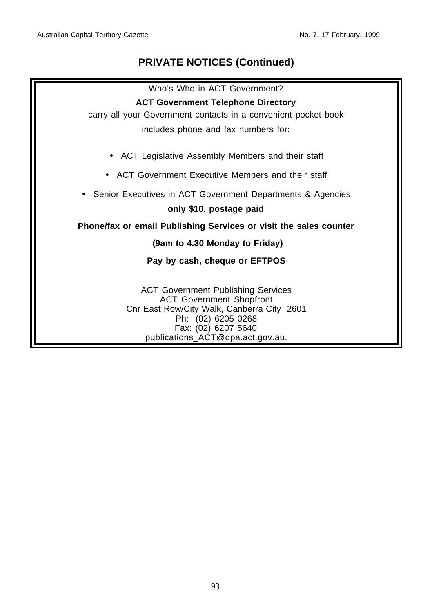## **PRIVATE NOTICES (Continued)**